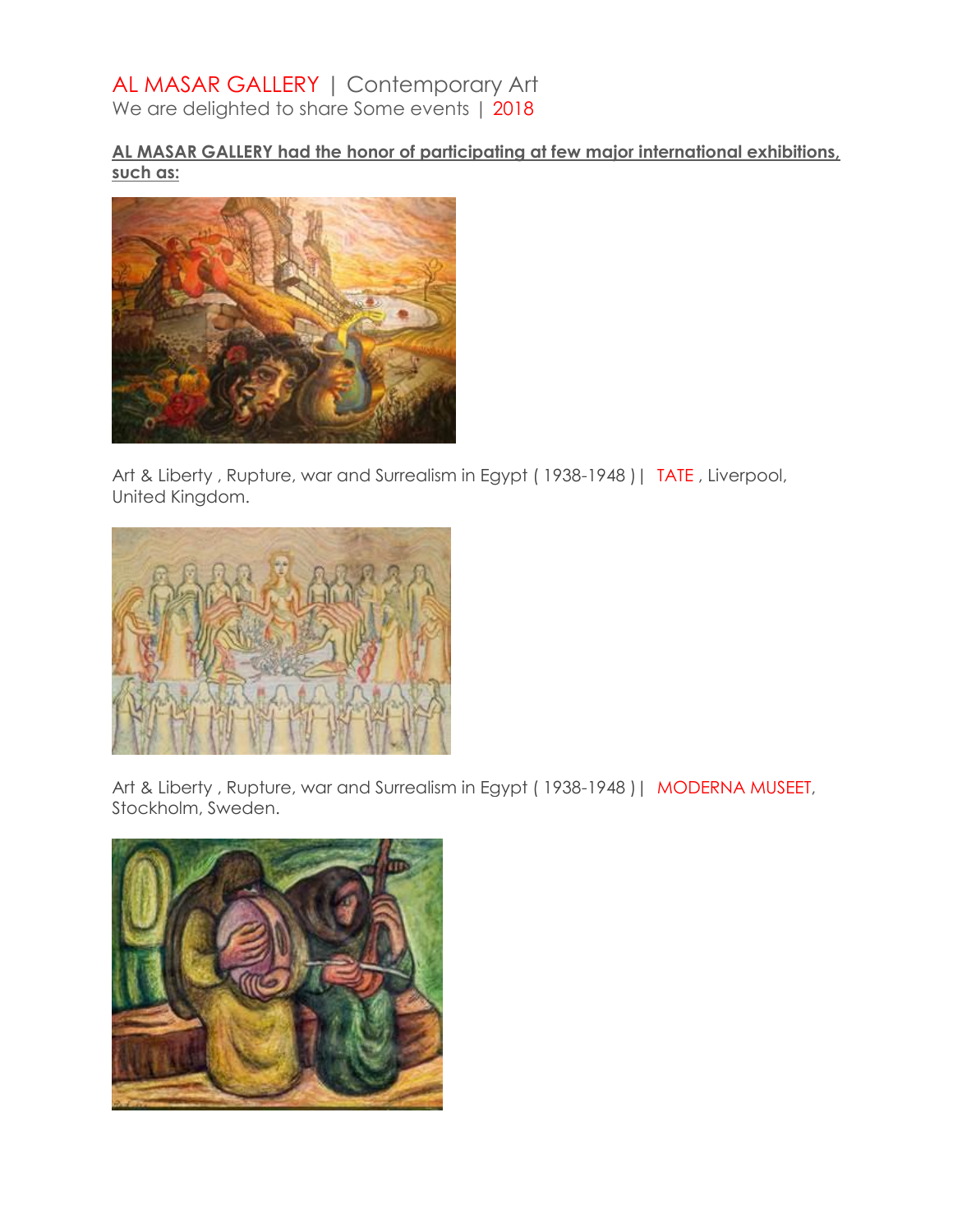# AL MASAR GALLERY | Contemporary Art

We are delighted to share Some events | 2018

### **AL MASAR GALLERY had the honor of participating at few major international exhibitions, such as:**



Art & Liberty, Rupture, war and Surrealism in Egypt (1938-1948) | TATE, Liverpool, United Kingdom.



Art & Liberty, Rupture, war and Surrealism in Egypt (1938-1948) | MODERNA MUSEET, Stockholm, Sweden.

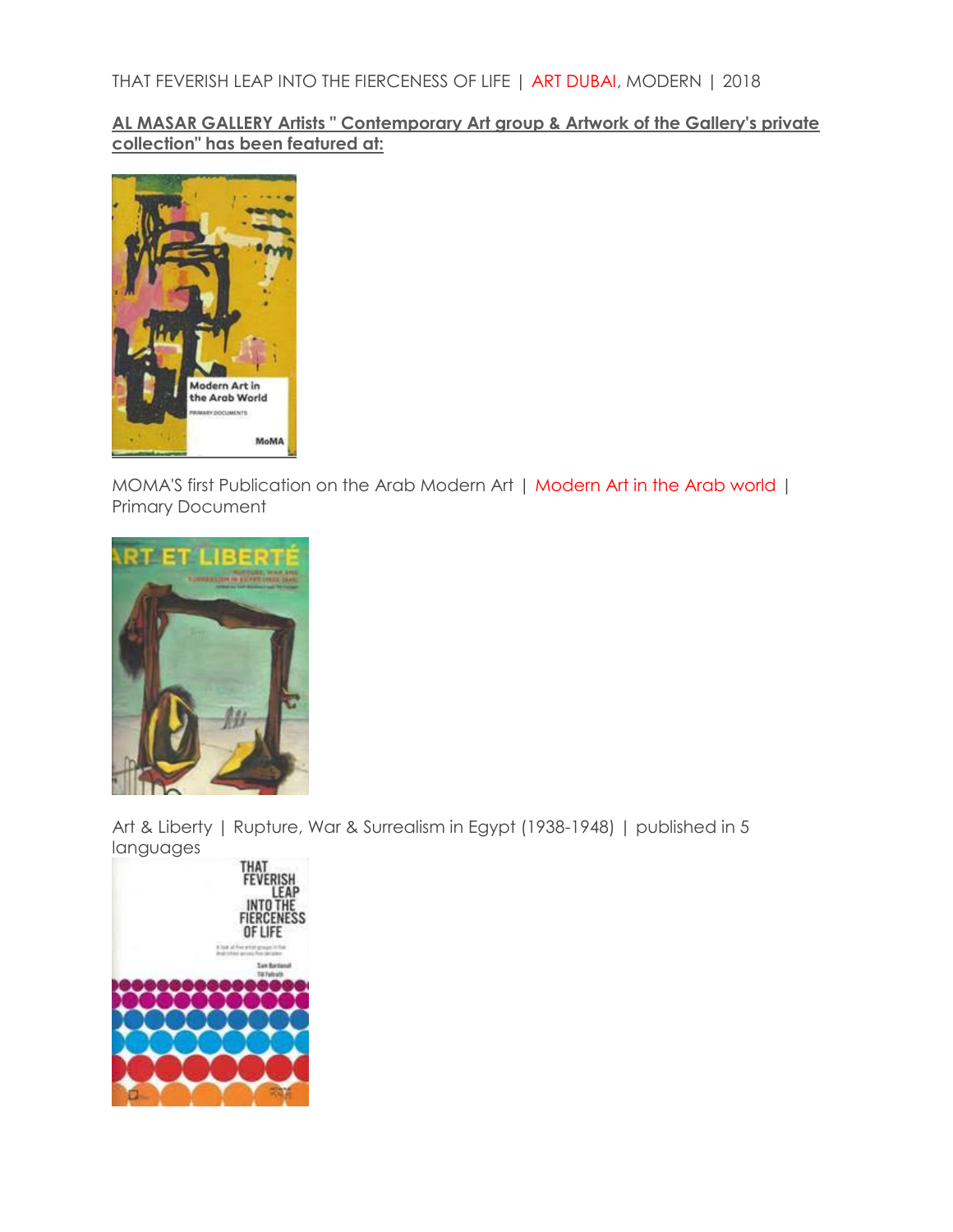**AL MASAR GALLERY Artists " Contemporary Art group & Artwork of the Gallery's private collection" has been featured at:**



MOMA'S first Publication on the Arab Modern Art | Modern Art in the Arab world | Primary Document



Art & Liberty | Rupture, War & Surrealism in Egypt (1938-1948) | published in 5 languages

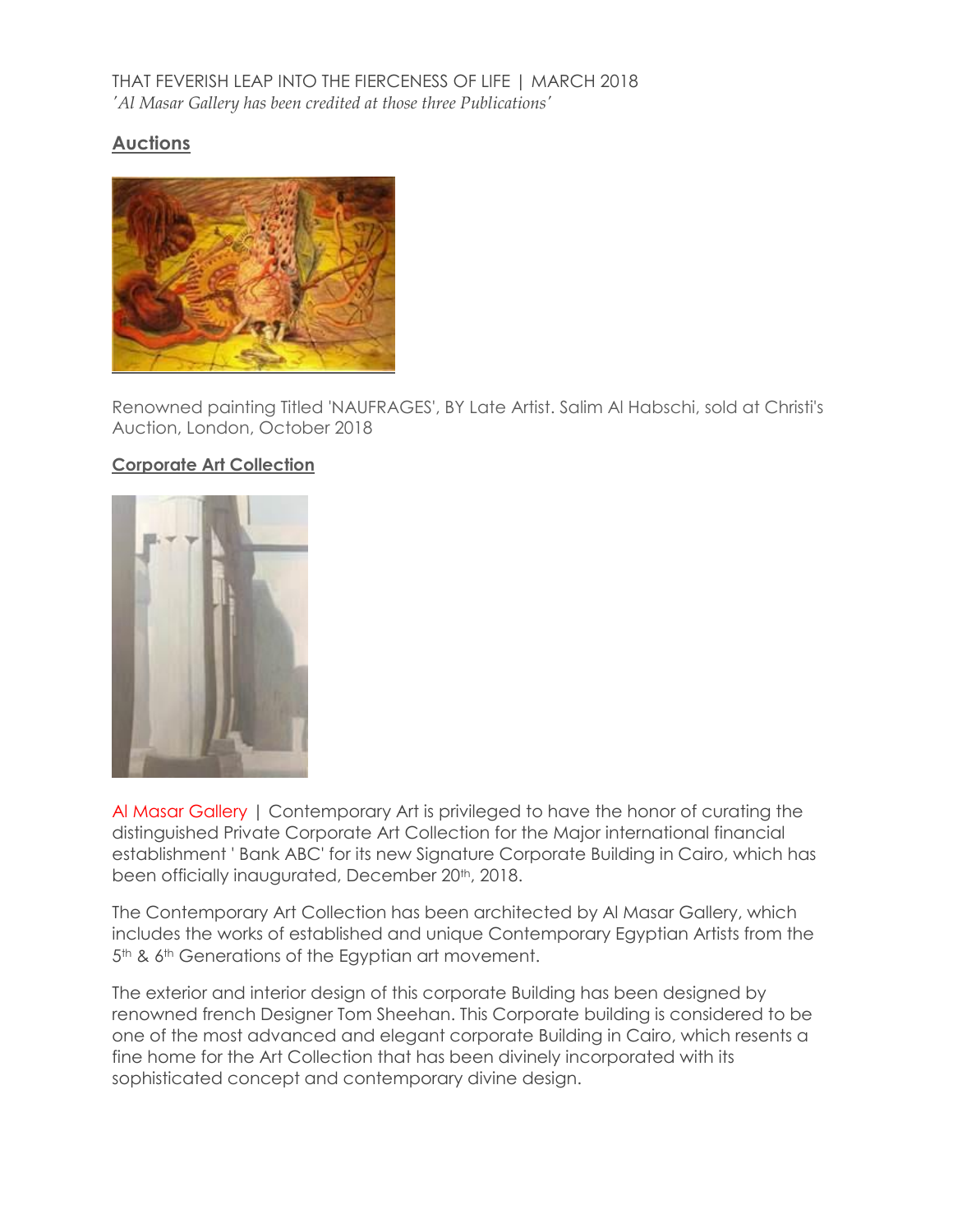### THAT FEVERISH LEAP INTO THE FIERCENESS OF LIFE | MARCH 2018 *'Al Masar Gallery has been credited at those three Publications'*

### **Auctions**



Renowned painting Titled 'NAUFRAGES', BY Late Artist. Salim Al Habschi, sold at Christi's Auction, London, October 2018

#### **Corporate Art Collection**



Al Masar Gallery | Contemporary Art is privileged to have the honor of curating the distinguished Private Corporate Art Collection for the Major international financial establishment ' Bank ABC' for its new Signature Corporate Building in Cairo, which has been officially inaugurated, December 20<sup>th</sup>, 2018.

The Contemporary Art Collection has been architected by Al Masar Gallery, which includes the works of established and unique Contemporary Egyptian Artists from the 5<sup>th</sup> & 6<sup>th</sup> Generations of the Egyptian art movement.

The exterior and interior design of this corporate Building has been designed by renowned french Designer Tom Sheehan. This Corporate building is considered to be one of the most advanced and elegant corporate Building in Cairo, which resents a fine home for the Art Collection that has been divinely incorporated with its sophisticated concept and contemporary divine design.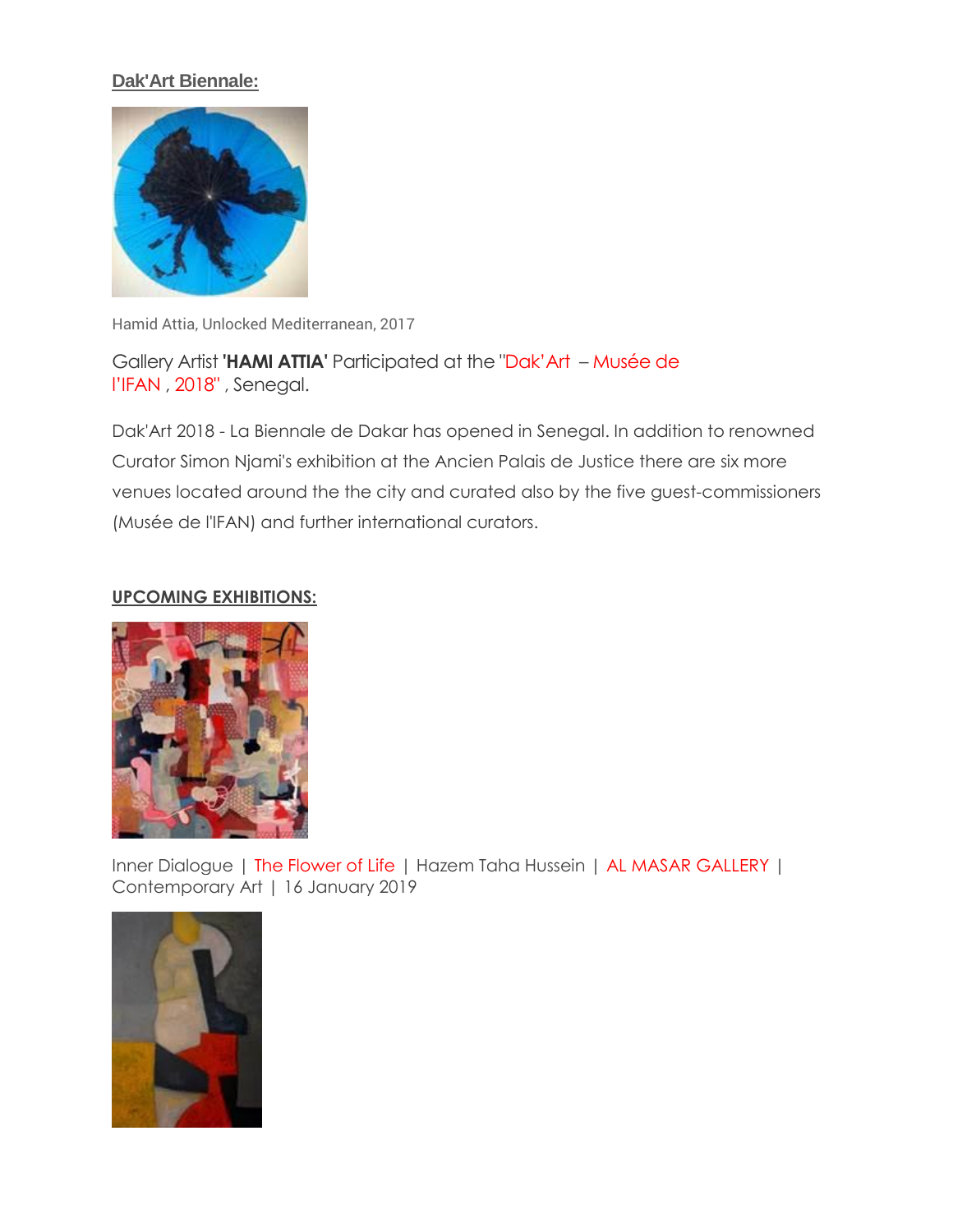# **Dak'Art Biennale:**



Hamid Attia, Unlocked Mediterranean, 2017

Gallery Artist **'HAMI ATTIA'** Participated at the "Dak'Art – Musée de l'IFAN , 2018" , Senegal.

Dak'Art 2018 - La Biennale de Dakar has opened in Senegal. In addition to renowned Curator Simon Njami's exhibition at the Ancien Palais de Justice there are six more venues located around the the city and curated also by the five guest-commissioners (Musée de l'IFAN) and further international curators.

#### **UPCOMING EXHIBITIONS:**



Inner Dialogue | The Flower of Life | Hazem Taha Hussein | AL MASAR GALLERY | Contemporary Art | 16 January 2019

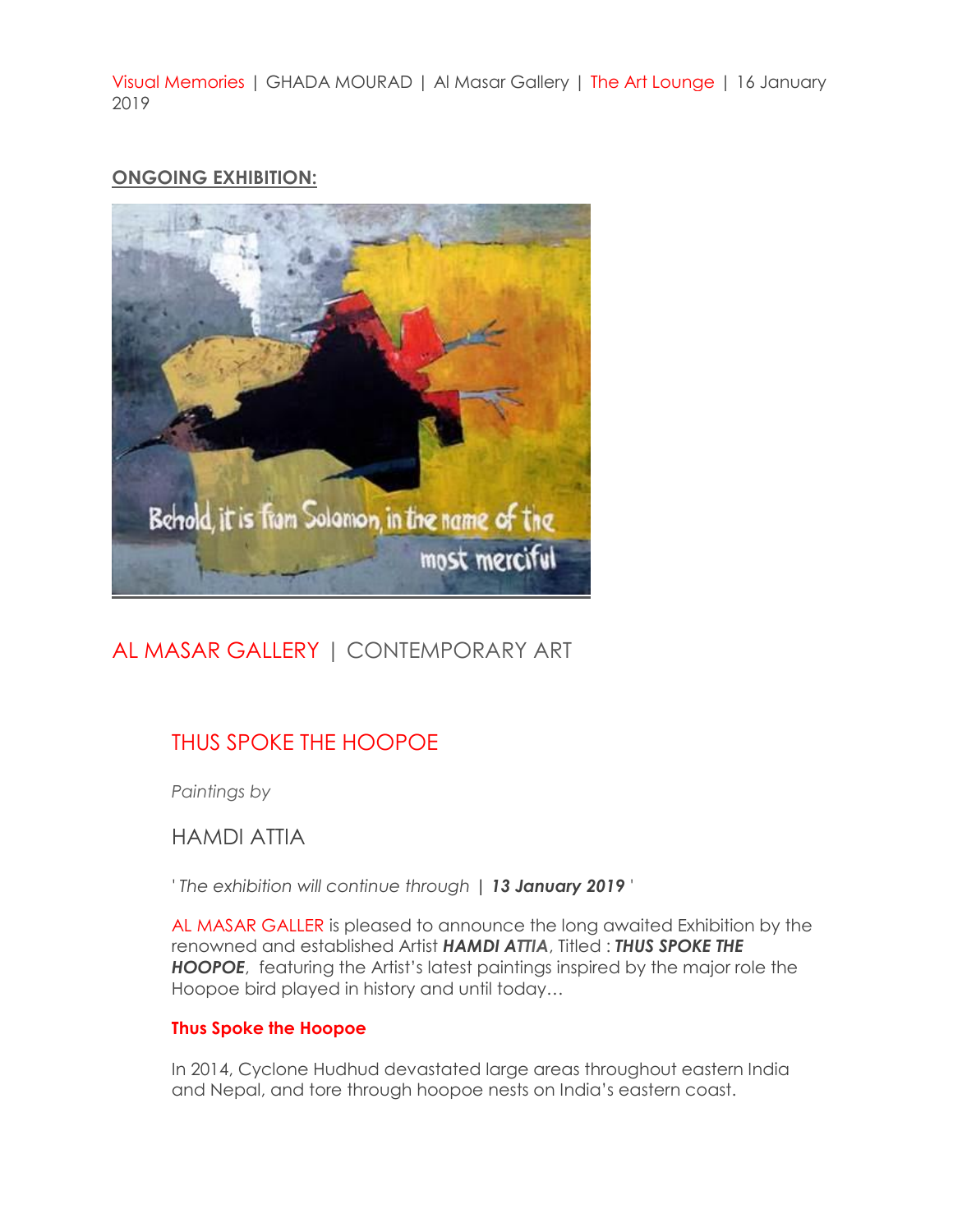Visual Memories | GHADA MOURAD | Al Masar Gallery | The Art Lounge | 16 January 2019

## **ONGOING EXHIBITION:**



# AL MASAR GALLERY | CONTEMPORARY ART

# THUS SPOKE THE HOOPOE

*Paintings by*

HAMDI ATTIA

*' The exhibition will continue through | 13 January 2019 '*

AL MASAR GALLER is pleased to announce the long awaited Exhibition by the renowned and established Artist *HAMDI ATTIA*, Titled : *THUS SPOKE THE HOOPOE*, featuring the Artist's latest paintings inspired by the major role the Hoopoe bird played in history and until today…

#### **Thus Spoke the Hoopoe**

In 2014, Cyclone Hudhud devastated large areas throughout eastern India and Nepal, and tore through hoopoe nests on India's eastern coast.